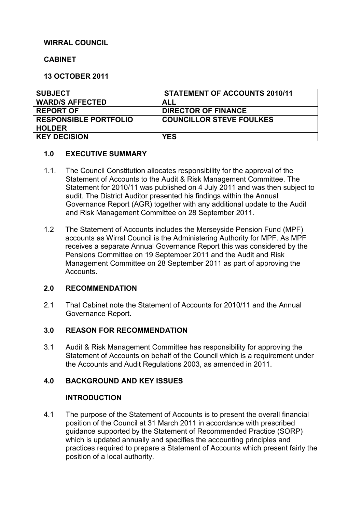## **WIRRAL COUNCIL**

#### **CABINET**

**13 OCTOBER 2011** 

| <b>SUBJECT</b>               | <b>STATEMENT OF ACCOUNTS 2010/11</b> |
|------------------------------|--------------------------------------|
| <b>WARD/S AFFECTED</b>       | ALL                                  |
| <b>REPORT OF</b>             | <b>DIRECTOR OF FINANCE</b>           |
| <b>RESPONSIBLE PORTFOLIO</b> | <b>COUNCILLOR STEVE FOULKES</b>      |
| <b>HOLDER</b>                |                                      |
| <b>KEY DECISION</b>          | <b>YES</b>                           |

#### **1.0 EXECUTIVE SUMMARY**

- 1.1. The Council Constitution allocates responsibility for the approval of the Statement of Accounts to the Audit & Risk Management Committee. The Statement for 2010/11 was published on 4 July 2011 and was then subject to audit. The District Auditor presented his findings within the Annual Governance Report (AGR) together with any additional update to the Audit and Risk Management Committee on 28 September 2011.
- 1.2 The Statement of Accounts includes the Merseyside Pension Fund (MPF) accounts as Wirral Council is the Administering Authority for MPF. As MPF receives a separate Annual Governance Report this was considered by the Pensions Committee on 19 September 2011 and the Audit and Risk Management Committee on 28 September 2011 as part of approving the Accounts.

#### **2.0 RECOMMENDATION**

2.1 That Cabinet note the Statement of Accounts for 2010/11 and the Annual Governance Report.

#### **3.0 REASON FOR RECOMMENDATION**

3.1 Audit & Risk Management Committee has responsibility for approving the Statement of Accounts on behalf of the Council which is a requirement under the Accounts and Audit Regulations 2003, as amended in 2011.

# **4.0 BACKGROUND AND KEY ISSUES**

#### **INTRODUCTION**

4.1 The purpose of the Statement of Accounts is to present the overall financial position of the Council at 31 March 2011 in accordance with prescribed guidance supported by the Statement of Recommended Practice (SORP) which is updated annually and specifies the accounting principles and practices required to prepare a Statement of Accounts which present fairly the position of a local authority.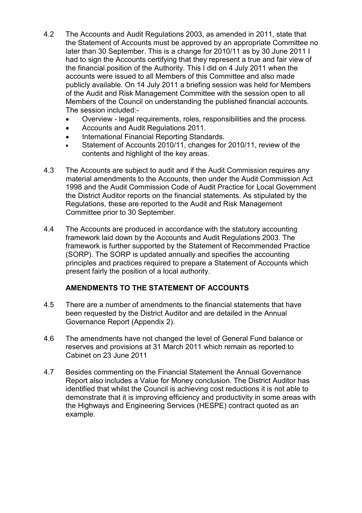- 4.2 The Accounts and Audit Regulations 2003, as amended in 2011, state that the Statement of Accounts must be approved by an appropriate Committee no later than 30 September. This is a change for 2010/11 as by 30 June 2011 I had to sign the Accounts certifying that they represent a true and fair view of the financial position of the Authority. This I did on 4 July 2011 when the accounts were issued to all Members of this Committee and also made publicly available. On 14 July 2011 a briefing session was held for Members of the Audit and Risk Management Committee with the session open to all Members of the Council on understanding the published financial accounts. The session included:-
	- Overview legal requirements, roles, responsibilities and the process.
	- Accounts and Audit Regulations 2011.
	- International Financial Reporting Standards.
	- Statement of Accounts 2010/11, changes for 2010/11, review of the contents and highlight of the key areas.
- 4.3 The Accounts are subject to audit and if the Audit Commission requires any material amendments to the Accounts, then under the Audit Commission Act 1998 and the Audit Commission Code of Audit Practice for Local Government the District Auditor reports on the financial statements. As stipulated by the Regulations, these are reported to the Audit and Risk Management Committee prior to 30 September.
- 4.4 The Accounts are produced in accordance with the statutory accounting framework laid down by the Accounts and Audit Regulations 2003. The framework is further supported by the Statement of Recommended Practice (SORP). The SORP is updated annually and specifies the accounting principles and practices required to prepare a Statement of Accounts which present fairly the position of a local authority.

# **AMENDMENTS TO THE STATEMENT OF ACCOUNTS**

- 4.5 There are a number of amendments to the financial statements that have been requested by the District Auditor and are detailed in the Annual Governance Report (Appendix 2).
- 4.6 The amendments have not changed the level of General Fund balance or reserves and provisions at 31 March 2011 which remain as reported to Cabinet on 23 June 2011
- 4.7 Besides commenting on the Financial Statement the Annual Governance Report also includes a Value for Money conclusion. The District Auditor has identified that whilst the Council is achieving cost reductions it is not able to demonstrate that it is improving efficiency and productivity in some areas with the Highways and Engineering Services (HESPE) contract quoted as an example.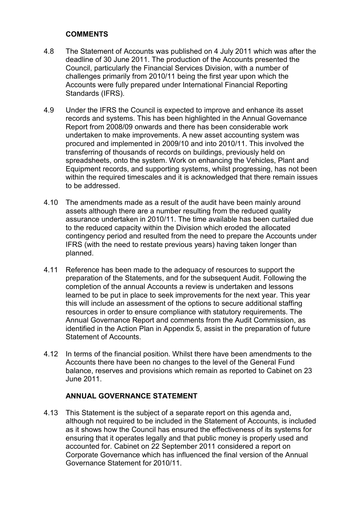### **COMMENTS**

- 4.8 The Statement of Accounts was published on 4 July 2011 which was after the deadline of 30 June 2011. The production of the Accounts presented the Council, particularly the Financial Services Division, with a number of challenges primarily from 2010/11 being the first year upon which the Accounts were fully prepared under International Financial Reporting Standards (IFRS).
- 4.9 Under the IFRS the Council is expected to improve and enhance its asset records and systems. This has been highlighted in the Annual Governance Report from 2008/09 onwards and there has been considerable work undertaken to make improvements. A new asset accounting system was procured and implemented in 2009/10 and into 2010/11. This involved the transferring of thousands of records on buildings, previously held on spreadsheets, onto the system. Work on enhancing the Vehicles, Plant and Equipment records, and supporting systems, whilst progressing, has not been within the required timescales and it is acknowledged that there remain issues to be addressed.
- 4.10 The amendments made as a result of the audit have been mainly around assets although there are a number resulting from the reduced quality assurance undertaken in 2010/11. The time available has been curtailed due to the reduced capacity within the Division which eroded the allocated contingency period and resulted from the need to prepare the Accounts under IFRS (with the need to restate previous years) having taken longer than planned.
- 4.11 Reference has been made to the adequacy of resources to support the preparation of the Statements, and for the subsequent Audit. Following the completion of the annual Accounts a review is undertaken and lessons learned to be put in place to seek improvements for the next year. This year this will include an assessment of the options to secure additional staffing resources in order to ensure compliance with statutory requirements. The Annual Governance Report and comments from the Audit Commission, as identified in the Action Plan in Appendix 5, assist in the preparation of future Statement of Accounts.
- 4.12 In terms of the financial position. Whilst there have been amendments to the Accounts there have been no changes to the level of the General Fund balance, reserves and provisions which remain as reported to Cabinet on 23 June 2011.

# **ANNUAL GOVERNANCE STATEMENT**

4.13 This Statement is the subject of a separate report on this agenda and, although not required to be included in the Statement of Accounts, is included as it shows how the Council has ensured the effectiveness of its systems for ensuring that it operates legally and that public money is properly used and accounted for. Cabinet on 22 September 2011 considered a report on Corporate Governance which has influenced the final version of the Annual Governance Statement for 2010/11.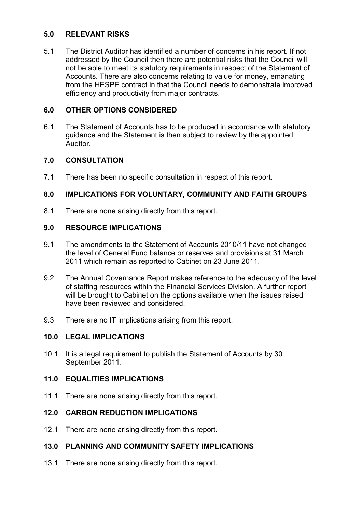### **5.0 RELEVANT RISKS**

5.1 The District Auditor has identified a number of concerns in his report. If not addressed by the Council then there are potential risks that the Council will not be able to meet its statutory requirements in respect of the Statement of Accounts. There are also concerns relating to value for money, emanating from the HESPE contract in that the Council needs to demonstrate improved efficiency and productivity from major contracts.

## **6.0 OTHER OPTIONS CONSIDERED**

6.1 The Statement of Accounts has to be produced in accordance with statutory guidance and the Statement is then subject to review by the appointed Auditor.

## **7.0 CONSULTATION**

7.1 There has been no specific consultation in respect of this report.

## **8.0 IMPLICATIONS FOR VOLUNTARY, COMMUNITY AND FAITH GROUPS**

8.1 There are none arising directly from this report.

## **9.0 RESOURCE IMPLICATIONS**

- 9.1 The amendments to the Statement of Accounts 2010/11 have not changed the level of General Fund balance or reserves and provisions at 31 March 2011 which remain as reported to Cabinet on 23 June 2011.
- 9.2 The Annual Governance Report makes reference to the adequacy of the level of staffing resources within the Financial Services Division. A further report will be brought to Cabinet on the options available when the issues raised have been reviewed and considered.
- 9.3 There are no IT implications arising from this report.

### **10.0 LEGAL IMPLICATIONS**

10.1 It is a legal requirement to publish the Statement of Accounts by 30 September 2011.

### **11.0 EQUALITIES IMPLICATIONS**

11.1 There are none arising directly from this report.

# **12.0 CARBON REDUCTION IMPLICATIONS**

12.1 There are none arising directly from this report.

# **13.0 PLANNING AND COMMUNITY SAFETY IMPLICATIONS**

13.1 There are none arising directly from this report.